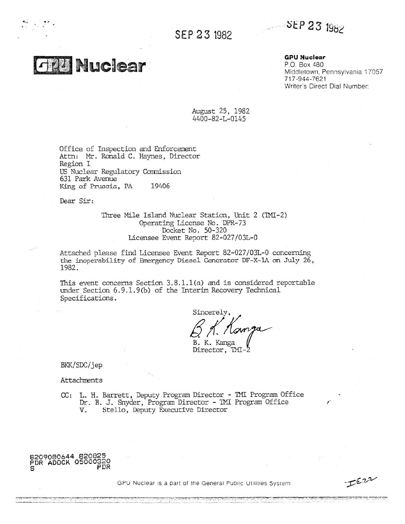SEP 23 1982

# SEP 23 1982

**Thuclear** 

**GPU Nuclear**

P.O. Box 480 Middletown, Pennsylvania 17957 717-944-7621 Writer's Direct Dial Number:

August 25, 1982 4400-82-L-0145

Office of Inspection and Enforcement Attn: Mr. Ronald C. Haynes, Director Region I US Nuclear Regulatory Commission 631 Park Avenue Office of Inspection and Enfo<br>Attn: Mr. Ronald C. Haynes,<br>Region I<br>US Nuclear Regulatory Commiss<br>631 Park Avenue<br>King of Prussia, PA 19406<br>Dear Sir:

Dear Sir:

Three Mile Island Nuclear Station, Unit 2 (TMI-2) Operating License *No.* DPR-73 Docket No. 50-320 Licensee Event Report 82-027/03L-0

Attached please find Licensee Event Report 82-027/03L-0 concerning the inoperability of Emergency Diesel Cencrator DF-X-1A on July 26, 1982.

This event concerns Section 3.8.1.1(a) and is considered reportable under Section 6.9.1.9(b) of the Interim Recovery Technical Specifications.

Sincerely,  $\mathcal Q$  /I. B. K. Kanga Director, TMI-

BKK/SDC/jep

Attachments

CC: L. H. Barrett, Deputy Program Director - TMI Program Office Dr. B. J. Snyder, Program Director - TM1 Program Office V. Stello, Deputy Executive Director



GPU Nuclear Is a part of the General Public Utilities System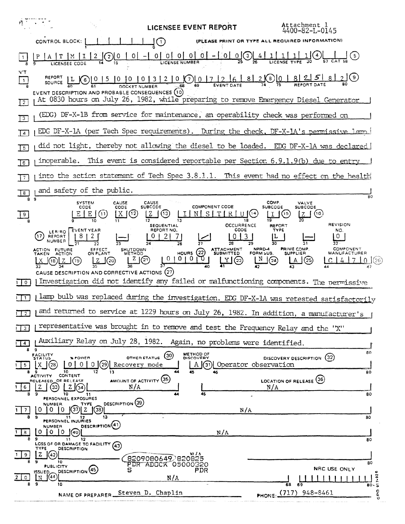Attachment 1<br>4400-82-L-0145 **LICENSEE EVENT REPORT** CONTROL BLOCK: [ | | | | | | | | (PLEASE PRINT OR TYPE ALL REQUIRED INFORMATION)  $\frac{P | A | T | M | I | 2}{LICENSEE CODE}$  $N^{\prime}$ T REPORT L 6 0 1 5 10 10 1 3 1 2 1 0 0 0 17 2 6  $812001825820$  $\lceil \cdot \rceil$ EVENT DESCRIPTION AND PROBABLE CONSEQUENCES (10) At 0830 hours on July 26, 1982, while preparing to remove Emergency Diesel Generator  $\overline{12}$ (EDG) DF-X-1B from service for maintenance, an operability check was performed on  $\overline{13}$ EDG DF-X-1A (per Tech Spec requirements). During the check, DF-X-1A's permissive lamp  $\sqrt{4}$ did not light, thereby not allowing the diesel to be loaded. EDG DF-X-1A was declared  $\overline{15}$ inoperable. This event is considered reportable per Section  $6.9.1.9(b)$  due to entry  $\overline{16}$ into the action statement of Tech Spec 3.8.1.1. This event had no effect on the health  $\overline{7}$ and safety of the public.  $\boxed{8}$  $\overline{R}$ SYSTEM<br>CODE CAUSE<br>SUBCODE COMP VALVE<br>SUBCODE **COMPONENT CODE SUBCODE** CODE  $E | E | (1)$  $\sqrt{9}$ <u>| X (12)</u>  $20<sup>2</sup>$  $\begin{bmatrix} I & N & S & T & R & U \end{bmatrix}$ ၂(၆  $(16)$  $\overline{13}$ 18 **OCCURRENCE REVISION SEQUENTIAL** REPORT LER/RO EVENT YEAR REPORT NO. CODE TYPE **NO** (17) REPORT  $|8|2|$  $0 | 2 | 7|$  $|0|3$  $\circ$ 11. I  $\overline{31}$ 32  $\overline{28}$  $10100Rs$  (22)<br> $37 -$ COMPONENT SHUTDOWN<br>METHOD ATTACHMENT<br>SUBMITTED NPRD-4 PRIME COMP. ACTION FUTURE EFFECT<br>ON PLANT FORM SUB. **MANUFACTURER SUPPLIER**  $\overline{H\mathbb{Q}}$  $L^{2}(\mathbb{C})$  $\frac{N}{42}$  $C[4]7[0]$  (26)  $\lfloor A \rfloor$ (25)  $\underbrace{X}_{33}$  (18)  $\underbrace{Z}_{34}$  (19)  $\lfloor z \rfloor$  $\mathsf{J}^{(20)}$  $\frac{1}{36}$ CAUSE DESCRIPTION AND CORRECTIVE ACTIONS (27) I Investigation did not identify any failed or malfunctioning components. The permissive  $\overline{10}$ I lamp bulb was replaced during the investigation. EDG DF-X-1A was retested satisfactorily न न न and returned to service at 1229 hours on July 26, 1982. In addition, a manufacturer's  $\overline{12}$ representative was brought in to remove and test the Frequency Relay and the "X"  $\sqrt{3}$ Auxiliary Relay on July 28, 1982. Again, no problems were identified.  $\Box$  4  $\overline{9}$ 80 EACILITY METHOD OF OTHER STATUS (30) % POWER DISCOVERY DESCRIPTION (32) 0 0 0 0 29 Recovery mode \_J(28) A (31) Operator observation  $\mathbf{1}$  5 ACTIVITY CONTENT  $13$ 80 AMOUNT OF ACTIVITY (35) LOCATION OF RELEASE (36) RELEASED OF RELEASE  $2 \big) 3 \big) 2 \big) 34$  $16$  $N/A$  $N/A$ īō 80  $11$ PERSONNEL EXPOSURES DESCRIPTION<sup>(39)</sup> **NUMBER TYPE**  $0000020$  $1 \mid 7$  $N/A$ PERSONNEL INJURIES 80 DESCRIPTION(41) **NUMBER**  $1$  |  $8$  | 0 0 0 40  $N/A$  $11$  $12$ 80 **9**<br>LOSS OF OR DAMAGE TO FACILITY (43) TYPE **DESCRIPTION**  $Z(\sqrt{42})$  $1 \mid 9 \mid$ īō 80 **PUBLICITY DESCRIPTION** (45) **PDR** NRC USE ONLY 44  $917 - 92$  $\circ$  $N/A$ I٧ 11 1 1 1 1 80 PHONE: (717) 948-8461 **CPO** Steven D. Chaplin **NAME OF PREPARER.**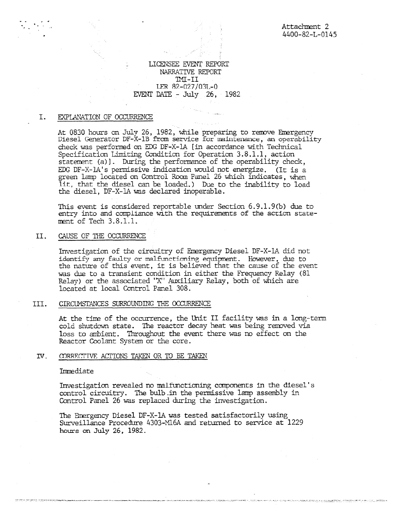# LICENSEE EVENT REPORT NARRATIVE REPORT  $TMT-II$ LER  $82-027/03L-0$ EVENT DATE - July 26, 1982

#### I. EXPLANATION OF OCCURRENCE

At 0830 hours on July 26, 1982, while preparing to remove Emergency<br>Diesel Generator DF-X-1B from service for maintenance, an operability check was performed on EDG DF-X-1A [in accordance with Technical Specification Limiting Condition for Operation 3.8.1.1, action statement (a)]. During the performance of the operability check, EDG DF-X-1A's permissive indication would not energize. (It is a green lamp located an Control Room Panel 26 which indicates, when lit, that the diesel can be loaded.) Due to the inability to load the diesel, DF-X-1A was declared inoperable.

This event is considered reportable under Section 6.9.1.9(b) due to entry into and compliance with the requirements of the action statement of Tech 3.8.1.1.

#### II. CAUSE OF THE OCCURRENCE

Investigation of the circuitry of Emergency Diesel DF-X-1A did not identify any faulty or malfunctioning equipment. However, due to the nature of this event, it is believed that the cause of the event was *due* to a transient condition in either the Frequency Relay (81 Relay) or the associated "X' Auxiliary Relay, both of which are located at local Control Panel 308.

#### III. CIRCUMSTANCES SURROUNDING THE OCCURRENCE

At the time of the occurrence, the Unit II facility was in a long-term cold shutdown state. The reactor decay heat was being removed via loss to ambient. Throughout the event there was no effect on the Reactor Coolant System or the core.

#### IV. CORRECTIVE ACTIONS TAKEN OR TO BE TAKEN

## Immediate

Investigation revealed no malfunctioning components in the diesel's control circuitry. The bulb in the permissive lamp assembly in Control Panel 26 was replaced during the investigation.

The Emergency Diesel DF-X-1A was tested satisfactorily using Surveillance Procedure 4303-M16A and returned to service at 1229 hours on July 26, 1982.